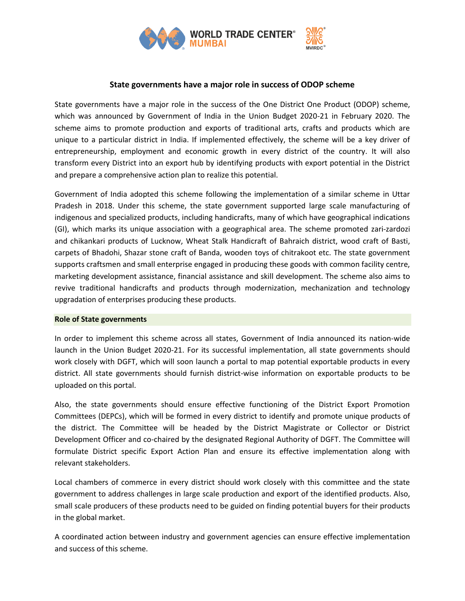

## **State governments have a major role in success of ODOP scheme**

State governments have a major role in the success of the One District One Product (ODOP) scheme, which was announced by Government of India in the Union Budget 2020-21 in February 2020. The scheme aims to promote production and exports of traditional arts, crafts and products which are unique to a particular district in India. If implemented effectively, the scheme will be a key driver of entrepreneurship, employment and economic growth in every district of the country. It will also transform every District into an export hub by identifying products with export potential in the District and prepare a comprehensive action plan to realize this potential.

Government of India adopted this scheme following the implementation of a similar scheme in Uttar Pradesh in 2018. Under this scheme, the state government supported large scale manufacturing of indigenous and specialized products, including handicrafts, many of which have geographical indications (GI), which marks its unique association with a geographical area. The scheme promoted zari-zardozi and chikankari products of Lucknow, Wheat Stalk Handicraft of Bahraich district, wood craft of Basti, carpets of Bhadohi, Shazar stone craft of Banda, wooden toys of chitrakoot etc. The state government supports craftsmen and small enterprise engaged in producing these goods with common facility centre, marketing development assistance, financial assistance and skill development. The scheme also aims to revive traditional handicrafts and products through modernization, mechanization and technology upgradation of enterprises producing these products.

## **Role of State governments**

In order to implement this scheme across all states, Government of India announced its nation-wide launch in the Union Budget 2020-21. For its successful implementation, all state governments should work closely with DGFT, which will soon launch a portal to map potential exportable products in every district. All state governments should furnish district-wise information on exportable products to be uploaded on this portal.

Also, the state governments should ensure effective functioning of the District Export Promotion Committees (DEPCs), which will be formed in every district to identify and promote unique products of the district. The Committee will be headed by the District Magistrate or Collector or District Development Officer and co-chaired by the designated Regional Authority of DGFT. The Committee will formulate District specific Export Action Plan and ensure its effective implementation along with relevant stakeholders.

Local chambers of commerce in every district should work closely with this committee and the state government to address challenges in large scale production and export of the identified products. Also, small scale producers of these products need to be guided on finding potential buyers for their products in the global market.

A coordinated action between industry and government agencies can ensure effective implementation and success of this scheme.